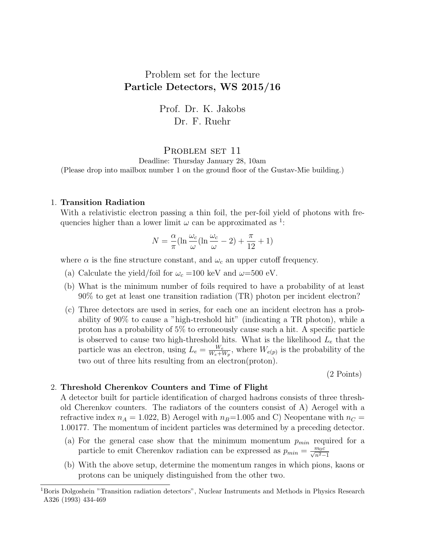# Problem set for the lecture Particle Detectors, WS 2015/16

Prof. Dr. K. Jakobs Dr. F. Ruehr

### PROBLEM SET 11

Deadline: Thursday January 28, 10am

(Please drop into mailbox number 1 on the ground floor of the Gustav-Mie building.)

#### 1. Transition Radiation

With a relativistic electron passing a thin foil, the per-foil yield of photons with frequencies higher than a lower limit  $\omega$  can be approximated as <sup>1</sup>:

$$
N = \frac{\alpha}{\pi} (\ln \frac{\omega_c}{\omega} (\ln \frac{\omega_c}{\omega} - 2) + \frac{\pi}{12} + 1)
$$

where  $\alpha$  is the fine structure constant, and  $\omega_c$  an upper cutoff frequency.

- (a) Calculate the yield/foil for  $\omega_c = 100 \text{ keV}$  and  $\omega = 500 \text{ eV}$ .
- (b) What is the minimum number of foils required to have a probability of at least 90% to get at least one transition radiation (TR) photon per incident electron?
- (c) Three detectors are used in series, for each one an incident electron has a probability of 90% to cause a "high-treshold hit" (indicating a TR photon), while a proton has a probability of 5% to erroneously cause such a hit. A specific particle is observed to cause two high-threshold hits. What is the likelihood  $L_e$  that the particle was an electron, using  $L_e = \frac{W_e}{W_e + V_e}$  $\frac{W_e}{W_e+W_p}$ , where  $W_{e(p)}$  is the probability of the two out of three hits resulting from an electron(proton).

(2 Points)

#### 2. Threshold Cherenkov Counters and Time of Flight

A detector built for particle identification of charged hadrons consists of three threshold Cherenkov counters. The radiators of the counters consist of A) Aerogel with a refractive index  $n_A = 1.022$ , B) Aerogel with  $n_B=1.005$  and C) Neopentane with  $n_C =$ 1.00177. The momentum of incident particles was determined by a preceding detector.

- (a) For the general case show that the minimum momentum  $p_{min}$  required for a particle to emit Cherenkov radiation can be expressed as  $p_{min} = \frac{m_0 c}{\sqrt{n^2-1}}$
- (b) With the above setup, determine the momentum ranges in which pions, kaons or protons can be uniquely distinguished from the other two.

<sup>1</sup>Boris Dolgoshein "Transition radiation detectors", Nuclear Instruments and Methods in Physics Research A326 (1993) 434-469